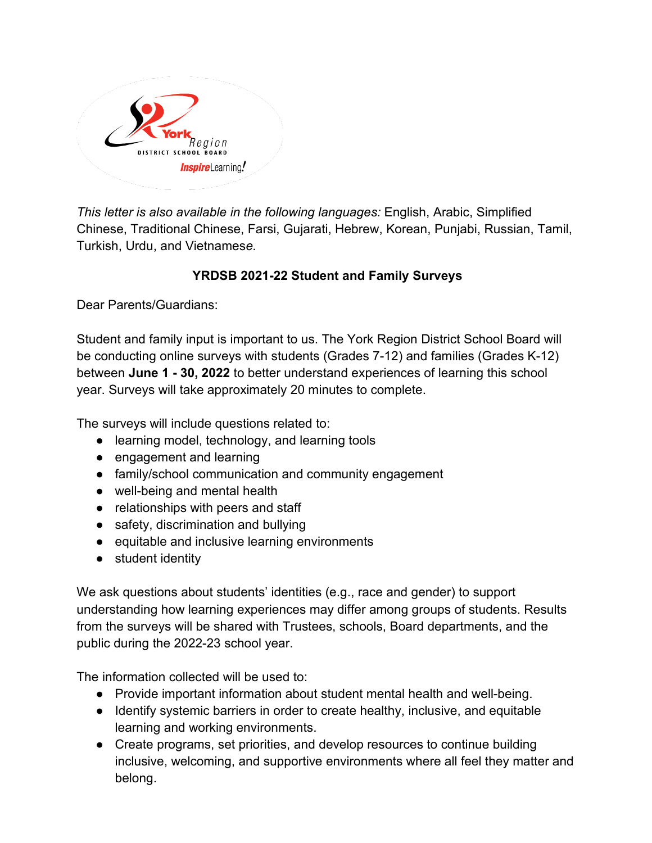

*This letter is also available in the following languages:* English, Arabic, Simplified Chinese, Traditional Chinese, Farsi, Gujarati, Hebrew, Korean, Punjabi, Russian, Tamil, Turkish, Urdu, and Vietnames*e.* 

## **YRDSB 2021-22 Student and Family Surveys**

Dear Parents/Guardians:

Student and family input is important to us. The York Region District School Board will be conducting online surveys with students (Grades 7-12) and families (Grades K-12) between **June 1 - 30, 2022** to better understand experiences of learning this school year. Surveys will take approximately 20 minutes to complete.

The surveys will include questions related to:

- learning model, technology, and learning tools
- engagement and learning
- family/school communication and community engagement
- well-being and mental health
- relationships with peers and staff
- safety, discrimination and bullying
- equitable and inclusive learning environments
- student identity

We ask questions about students' identities (e.g., race and gender) to support understanding how learning experiences may differ among groups of students. Results from the surveys will be shared with Trustees, schools, Board departments, and the public during the 2022-23 school year.

The information collected will be used to:

- Provide important information about student mental health and well-being.
- Identify systemic barriers in order to create healthy, inclusive, and equitable learning and working environments.
- Create programs, set priorities, and develop resources to continue building inclusive, welcoming, and supportive environments where all feel they matter and belong.